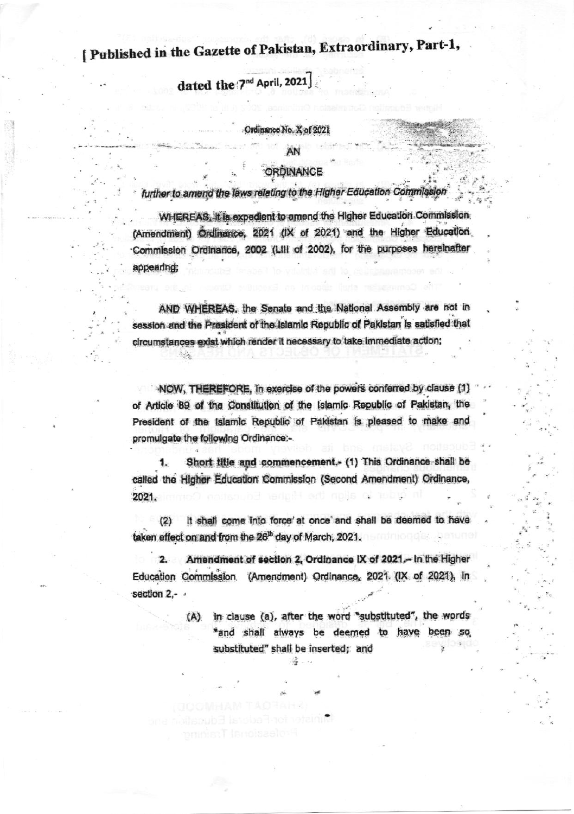## [ Published in the Gazette of Pakistan, Extraordinary, Part-1,

dated the '7<sup>nd</sup> April, 2021

#### Ordinance No. X of 2021

AN

#### ORDINANCE

further to amend the laws relating to the Higher Education Commission

WHEREAS, it is expedient to amend the Higher Education Commission (Amendment) Ordinance, 2021 (IX of 2021) and the Higher Education Commission Ordinance, 2002 (Lill of 2002), for the purposes hereinafter appearing;

AND WHEREAS, the Senate and the National Assembly are not in session and the President of the Islamic Republic of Pakistan is satisfied that circumstances exist which render it necessary to take immediate action;

NOW, THEREFORE, in exercise of the powers conferred by clause (1) of Article 89 of the Constitution of the Islamic Republic of Pakistan, the President of the Islamic Republic of Pakistan is pleased to make and promulgate the following Ordinance:-

Short title and commencement. (1) This Ordinance shall be called the Higher Education Commission (Second Amendment) Ordinance, 2021.

It shall come into force' at once and shall be deemed to have  $(2)$ taken effect on and from the 26<sup>th</sup> day of March, 2021.

Amendment of section 2, Ordinance IX of 2021. In the Higher Education Commission. (Amendment) Ordinance, 2021 (IX of 2021), in section 2,-

> in clause (a), after the word "substituted", the words  $(A)$ "and shall always be deemed to have been substituted" shall be inserted; and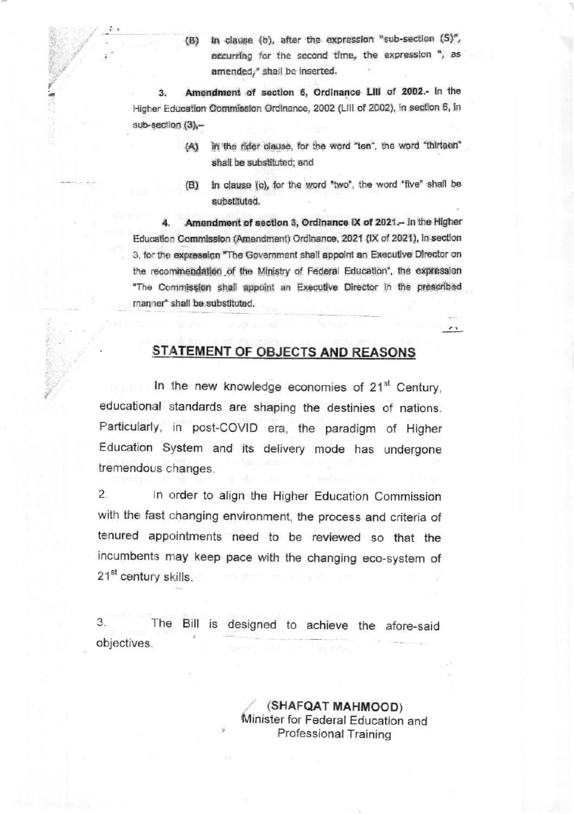in clause (b), after the expression "sub-section (5)",  $(B)$ occurring for the second time, the expression ", as amended," shall be inserted.

Amendment of section 6, Ordinance LIII of 2002.- In the  $3.$ Higher Education Commission Ordinance, 2002 (LIII of 2002), in section 6, in sub-section (3),-

- in the rider clause, for the word "ten", the word "thirteen"  $(A)$ shall be substituted; and
- In clause (c), for the word "two", the word "five" shall be  $(B)$ substituted.

 $\overline{\phantom{a}}$ 

Amendment of section 3, Ordinance IX of 2021. In the Higher Education Commission (Amendment) Ordinance, 2021 (IX of 2021), in section 3, for the expression "The Government shall appoint an Executive Director on the recommendation of the Ministry of Federal Education', the expression "The Commission shall appoint an Executive Director In the prescribed manner" shall be substituted.

### **STATEMENT OF OBJECTS AND REASONS**

In the new knowledge economies of 21<sup>st</sup> Century, educational standards are shaping the destinies of nations. Particularly, in post-COVID era, the paradigm of Higher Education System and its delivery mode has undergone tremendous changes.

 $2.$ In order to align the Higher Education Commission with the fast changing environment, the process and criteria of tenured appointments need to be reviewed so that the incumbents may keep pace with the changing eco-system of 21<sup>st</sup> century skills.

3. The Bill is designed to achieve the afore-said objectives.

> (SHAFQAT MAHMOOD) Minister for Federal Education and Professional Training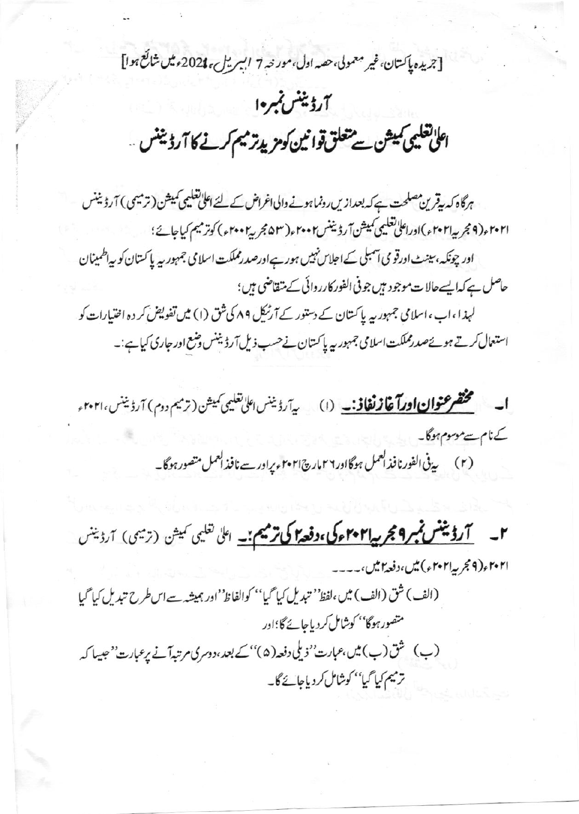[جريده پاكستان،غير معمولي،حصه اول،مورنه 7 ابسريلي،2021ء ميں شائع ہوا]

# آرڈیننس نمبرہ| اعلیٰ تعلیمی کمیشن سے متعلق توانین کومزید ترمیم کرنے کا آرڈیننس ..

ہرگاہ کہ پیٹرین مصلحت ہے کہ بعدازیں رونماہونے والی اغراض کے لئے اعلیٰ تعلیمی کمیشن (ترمیمی ) آرڈیننس ٢٠٢١ ، (٩ مجر به ٢٠٢١ ، )اوراعلى تعليمي كميش آر دُيننس٢٠٠٢ ، ( ٤٥٣ ، كربير٢٠٠٢ ، ) كوتر ميم كياجائي؛ اور چونکہ، سینٹ اورقو می اسمبلی کے اجلاس نہیں ہور ہے اورصدرمملکت اسلامی جمہور پہ پا کستان کو پہ اطمینان حاصل ہے کہا یسےحالات موجود ہیں جو فی الفور کارروائی کے متقاضی ہیں؛ لہذا ،اب ،اسلامی جمہور یہ پاکستان کے دستور کے آرٹیکل ۸۹ کی شق (۱) میں تفویض کر دہ اختیارات کو استعال کرتے ہوئےصدرمملکت اسلامی جمہور یہ پاکستان نے حسب ذیل آرڈیننس وضع اور جاری کیاہے:۔

**ا۔ مختصر عنوان اورآ غازنغاذ۔۔** (۱) پ<sub>رآرڈ</sub> بنس الی تعلیمی کمیشن (ترمیم دوم) آرڈینس،۲۰۲۱ء کےنام سےموسوم ہوگا۔

(۲) یی<sup>فی ا</sup>لفورنافذالعمل ہوگااور ۲۶ مارچ۲۰۲۱ءیراور سے نافذالعمل متصور ہوگا۔

**۲۔ اگرڈینٹس نمبر ۹ مجر پیا۲۰۲ مرگی،دفعہ اگی ترمیم بن**ے اعلیٰ تعلیمی نمیشن (ترمیمی) آرڈینس ۲۰۲۱ و(۹ مجر په ۲۰۲۱ و) میں،دفعه ۲ میں،۔۔۔۔

(الف) شق (الف) میں،لفظ'' تبدیل کیا گیا'' کوالفاظ''اور ہمیشہ سےاس طرح تبدیل کیا گیا متصور ہوگا'' کوشامل کردیاجائے گا؛اور (ب) شق(ب) میں،عبارت' ذیلی دفعہ(۵)''کے بعد،دوسری مرتبدآنے پرعبارت''حبیبا کہ ترميم كيا گيا'' كوشامل كردياجائے گا۔